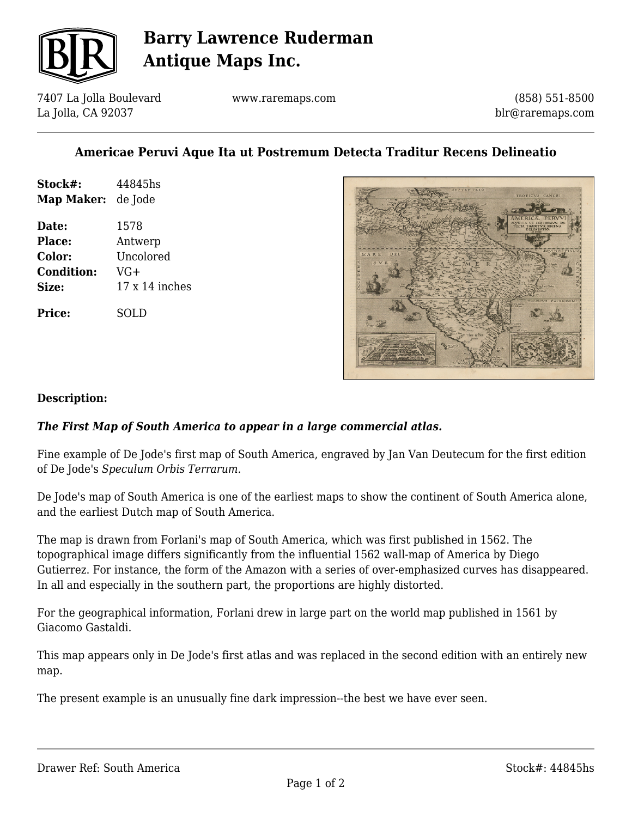

# **Barry Lawrence Ruderman Antique Maps Inc.**

7407 La Jolla Boulevard La Jolla, CA 92037

www.raremaps.com

(858) 551-8500 blr@raremaps.com

### **Americae Peruvi Aque Ita ut Postremum Detecta Traditur Recens Delineatio**

| Stock#:<br><b>Map Maker:</b> de Jode | 44845hs        |
|--------------------------------------|----------------|
| Date:                                | 1578           |
| Place:                               | Antwerp        |
| Color:                               | Uncolored      |
| <b>Condition:</b>                    | $VG+$          |
| Size:                                | 17 x 14 inches |
| <b>Price:</b>                        | SOL D          |



#### **Description:**

### *The First Map of South America to appear in a large commercial atlas.*

Fine example of De Jode's first map of South America, engraved by Jan Van Deutecum for the first edition of De Jode's *Speculum Orbis Terrarum.*

De Jode's map of South America is one of the earliest maps to show the continent of South America alone, and the earliest Dutch map of South America.

The map is drawn from Forlani's map of South America, which was first published in 1562. The topographical image differs significantly from the influential 1562 wall-map of America by Diego Gutierrez. For instance, the form of the Amazon with a series of over-emphasized curves has disappeared. In all and especially in the southern part, the proportions are highly distorted.

For the geographical information, Forlani drew in large part on the world map published in 1561 by Giacomo Gastaldi.

This map appears only in De Jode's first atlas and was replaced in the second edition with an entirely new map.

The present example is an unusually fine dark impression--the best we have ever seen.